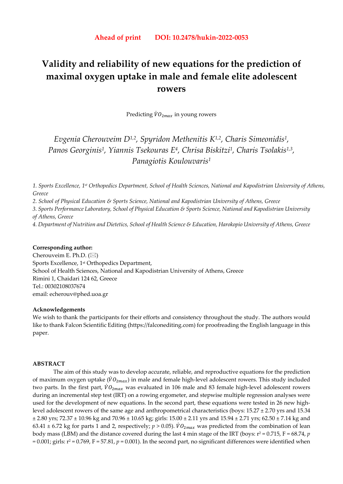# **Validity and reliability of new equations for the prediction of maximal oxygen uptake in male and female elite adolescent rowers**

Predicting  $\dot{V}O_{2max}$  in young rowers

*Evgenia Cherouveim D1,2, Spyridon Methenitis K1,2, Charis Simeonidis1, Panos Georginis1, Yiannis Tsekouras E4, Chrisa Biskitzi1, Charis Tsolakis1,3, Panagiotis Koulouvaris1*

*1. Sports Excellence, 1st Orthopedics Department, School of Health Sciences, National and Kapodistrian University of Athens, Greece* 

*2. School of Physical Education & Sports Science, National and Kapodistrian University of Athens, Greece* 

*3. Sports Performance Laboratory, School of Physical Education & Sports Science, National and Kapodistrian University of Athens, Greece* 

*4. Department of Nutrition and Dietetics, School of Health Science & Education, Harokopio University of Athens, Greece* 

## **Corresponding author:**

Cherouveim E. Ph.D.  $(\boxtimes)$ Sports Excellence, 1st Orthopedics Department, School of Health Sciences, National and Kapodistrian University of Athens, Greece Rimini 1, Chaidari 124 62, Greece Tel.: 00302108037674 email: echerouv@phed.uoa.gr

#### **Acknowledgements**

We wish to thank the participants for their efforts and consistency throughout the study. The authors would like to thank Falcon Scientific Editing (https://falconediting.com) for proofreading the English language in this paper.

## **ABSTRACT**

The aim of this study was to develop accurate, reliable, and reproductive equations for the prediction of maximum oxygen uptake ( $\dot{V}O_{2max}$ ) in male and female high-level adolescent rowers. This study included two parts. In the first part,  $\dot{V}O_{2max}$  was evaluated in 106 male and 83 female high-level adolescent rowers during an incremental step test (IRT) on a rowing ergometer, and stepwise multiple regression analyses were used for the development of new equations. In the second part, these equations were tested in 26 new highlevel adolescent rowers of the same age and anthropometrical characteristics (boys: 15.27 ± 2.70 yrs and 15.34 ± 2.80 yrs; 72.37 ± 10.96 kg and 70.96 ± 10.65 kg; girls: 15.00 ± 2.11 yrs and 15.94 ± 2.71 yrs; 62.50 ± 7.14 kg and 63.41  $\pm$  6.72 kg for parts 1 and 2, respectively;  $p > 0.05$ ).  $\dot{V}O_{2max}$  was predicted from the combination of lean body mass (LBM) and the distance covered during the last 4 min stage of the IRT (boys:  $r^2 = 0.715$ ,  $F = 68.74$ , *p*  $= 0.001$ ; girls:  $r^2 = 0.769$ ,  $F = 57.81$ ,  $p = 0.001$ ). In the second part, no significant differences were identified when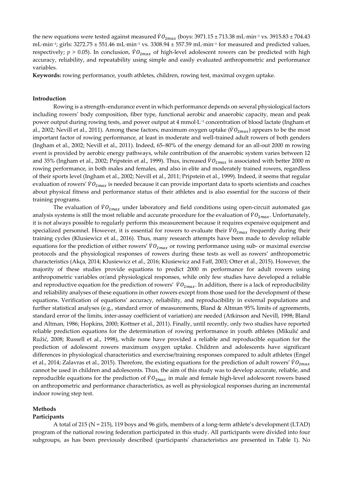the new equations were tested against measured  $\dot{V}O_{2max}$  (boys: 3971.15 ± 713.38 mL·min<sup>-1</sup> vs. 3915.83 ± 704.43 mL·min−1; girls: 3272.75 ± 551.46 mL·min−1 vs. 3308.94 ± 557.59 mL·min−1 for measured and predicted values, respectively;  $p > 0.05$ ). In conclusion,  $\dot{V}O_{2max}$  of high-level adolescent rowers can be predicted with high accuracy, reliability, and repeatability using simple and easily evaluated anthropometric and performance variables.

**Keywords:** rowing performance, youth athletes, children, rowing test, maximal oxygen uptake.

# **Introduction**

Rowing is a strength–endurance event in which performance depends on several physiological factors including rowers' body composition, fiber type, functional aerobic and anaerobic capacity, mean and peak power output during rowing tests, and power output at 4 mmol·L−1 concentration of blood lactate (Ingham et al., 2002; Nevill et al., 2011). Among these factors, maximum oxygen uptake ( $\dot{V}\theta_{2max}$ ) appears to be the most important factor of rowing performance, at least in moderate and well-trained adult rowers of both genders (Ingham et al., 2002; Nevill et al., 2011). Indeed, 65–80% of the energy demand for an all-out 2000 m rowing event is provided by aerobic energy pathways, while contribution of the anaerobic system varies between 12 and 35% (Ingham et al., 2002; Pripstein et al., 1999). Thus, increased  $\dot{V}O_{2max}$  is associated with better 2000 m rowing performance, in both males and females, and also in elite and moderately trained rowers, regardless of their sports level (Ingham et al., 2002; Nevill et al., 2011; Pripstein et al., 1999). Indeed, it seems that regular evaluation of rowers'  $\dot{V}\theta_{2max}$  is needed because it can provide important data to sports scientists and coaches about physical fitness and performance status of their athletes and is also essential for the success of their training programs.

The evaluation of  $\dot{V}\theta_{2max}$  under laboratory and field conditions using open-circuit automated gas analysis systems is still the most reliable and accurate procedure for the evaluation of  $\dot{V}O_{2max}$ . Unfortunately, it is not always possible to regularly perform this measurement because it requires expensive equipment and specialized personnel. However, it is essential for rowers to evaluate their  $\dot{V}O_{2max}$  frequently during their training cycles (Klusiewicz et al., 2016). Thus, many research attempts have been made to develop reliable equations for the prediction of either rowers'  $\dot{V}O_{2max}$  or rowing performance using sub- or maximal exercise protocols and the physiological responses of rowers during these tests as well as rowers' anthropometric characteristics (Akça, 2014; Klusiewicz et al., 2016; Klusiewicz and Faff, 2003; Otter et al., 2015). However, the majority of these studies provide equations to predict 2000 m performance for adult rowers using anthropometric variables or/and physiological responses, while only few studies have developed a reliable and reproductive equation for the prediction of rowers'  $\dot{V}O_{2max}$ . In addition, there is a lack of reproducibility and reliability analyses of these equations in other rowers except from those used for the development of these equations. Verification of equations' accuracy, reliability, and reproducibility in external populations and further statistical analyses (e.g., standard error of measurements, Bland & Altman 95% limits of agreements, standard error of the limits, inter-assay coefficient of variation) are needed (Atkinson and Nevill, 1998; Bland and Altman, 1986; Hopkins, 2000; Kottner et al., 2011). Finally, until recently, only two studies have reported reliable prediction equations for the determination of rowing performance in youth athletes (Mikulić and Ružić, 2008; Russell et al., 1998), while none have provided a reliable and reproducible equation for the prediction of adolescent rowers maximum oxygen uptake. Children and adolescents have significant differences in physiological characteristics and exercise/training responses compared to adult athletes (Engel et al., 2014; Zalavras et al., 2015). Therefore, the existing equations for the prediction of adult rowers'  $\dot{V}O_{2max}$ cannot be used in children and adolescents. Thus, the aim of this study was to develop accurate, reliable, and reproducible equations for the prediction of  $\dot{V}O_{2max}$  in male and female high-level adolescent rowers based on anthropometric and performance characteristics, as well as physiological responses during an incremental indoor rowing step test.

#### **Methods**

#### **Participants**

 A total of 215 (N = 215), 119 boys and 96 girls, members of a long-term athlete's development (LTAD) program of the national rowing federation participated in this study. All participants were divided into four subgroups, as has been previously described (participants' characteristics are presented in Table 1). No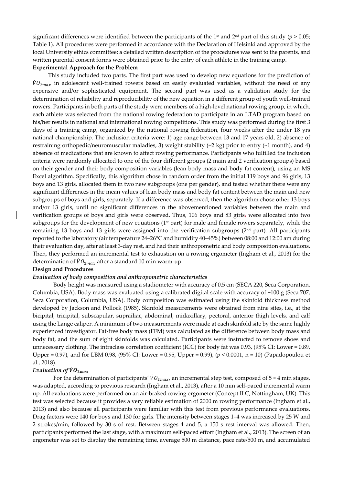significant differences were identified between the participants of the 1<sup>st</sup> and 2<sup>nd</sup> part of this study ( $p > 0.05$ ; Table 1). All procedures were performed in accordance with the Declaration of Helsinki and approved by the local University ethics committee; a detailed written description of the procedures was sent to the parents, and written parental consent forms were obtained prior to the entry of each athlete in the training camp. **Experimental Approach for the Problem** 

This study included two parts. The first part was used to develop new equations for the prediction of  $\dot{V}O_{2max}$  in adolescent well-trained rowers based on easily evaluated variables, without the need of any expensive and/or sophisticated equipment. The second part was used as a validation study for the determination of reliability and reproducibility of the new equation in a different group of youth well-trained rowers. Participants in both parts of the study were members of a high-level national rowing group, in which, each athlete was selected from the national rowing federation to participate in an LTAD program based on his/her results in national and international rowing competitions. This study was performed during the first 3 days of a training camp, organized by the national rowing federation, four weeks after the under 18 yrs national championship. The inclusion criteria were: 1) age range between 13 and 17 years old, 2) absence of restraining orthopedic/neuromuscular maladies, 3) weight stability (±2 kg) prior to entry (~1 month), and 4) absence of medications that are known to affect rowing performance. Participants who fulfilled the inclusion criteria were randomly allocated to one of the four different groups (2 main and 2 verification groups) based on their gender and their body composition variables (lean body mass and body fat content), using an MS Excel algorithm. Specifically, this algorithm chose in random order from the initial 119 boys and 96 girls, 13 boys and 13 girls, allocated them in two new subgroups (one per gender), and tested whether there were any significant differences in the mean values of lean body mass and body fat content between the main and new subgroups of boys and girls, separately. If a difference was observed, then the algorithm chose other 13 boys and/or 13 girls, until no significant differences in the abovementioned variables between the main and verification groups of boys and girls were observed. Thus, 106 boys and 83 girls, were allocated into two subgroups for the development of new equations (1<sup>st</sup> part) for male and female rowers separately, while the remaining 13 boys and 13 girls were assigned into the verification subgroups (2nd part). All participants reported to the laboratory (air temperature 24–26°C and humidity 40–45%) between 08:00 and 12:00 am during their evaluation day, after at least 3-day rest, and had their anthropometric and body composition evaluations. Then, they performed an incremental test to exhaustion on a rowing ergometer (Ingham et al., 2013) for the determination of  $\dot{V}O_{2max}$  after a standard 10 min warm-up.

## **Design and Procedures**

#### *Evaluation of body composition and anthropometric characteristics*

Body height was measured using a stadiometer with accuracy of 0.5 cm (SECA 220, Seca Corporation, Columbia, USA). Body mass was evaluated using a calibrated digital scale with accuracy of ±100 g (Seca 707, Seca Corporation, Columbia, USA). Body composition was estimated using the skinfold thickness method developed by Jackson and Pollock (1985). Skinfold measurements were obtained from nine sites, i.e., at the bicipital, tricipital, subscapular, suprailiac, abdominal, midaxillary, pectoral, anterior thigh levels, and calf using the Lange caliper. A minimum of two measurements were made at each skinfold site by the same highly experienced investigator. Fat-free body mass (FFM) was calculated as the difference between body mass and body fat, and the sum of eight skinfolds was calculated. Participants were instructed to remove shoes and unnecessary clothing. The intraclass correlation coefficient (ICC) for body fat was 0.93, (95% CI: Lower = 0.89, Upper = 0.97), and for LBM 0.98, (95% CI: Lower = 0.95, Upper = 0.99), (*p* < 0.0001, n = 10) (Papadopoulou et al., 2018).

## *Evaluation of* ሶ

For the determination of participants'  $\dot{V}O_{2max}$ , an incremental step test, composed of 5 × 4 min stages, was adapted, according to previous research (Ingham et al., 2013), after a 10 min self-paced incremental warm up. All evaluations were performed on an air-braked rowing ergometer (Concept II C, Nottingham, UK). This test was selected because it provides a very reliable estimation of 2000 m rowing performance (Ingham et al., 2013) and also because all participants were familiar with this test from previous performance evaluations. Drag factors were 140 for boys and 130 for girls. The intensity between stages 1–4 was increased by 25 W and 2 strokes/min, followed by 30 s of rest. Between stages 4 and 5, a 150 s rest interval was allowed. Then, participants performed the last stage, with a maximum self-paced effort (Ingham et al., 2013). The screen of an ergometer was set to display the remaining time, average 500 m distance, pace rate/500 m, and accumulated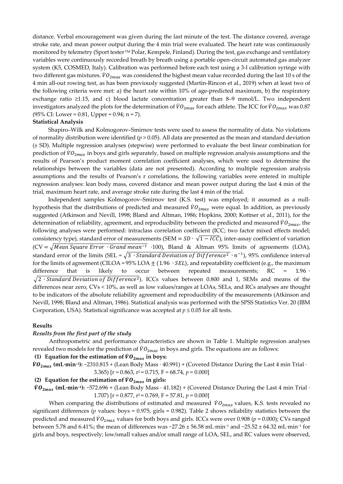distance. Verbal encouragement was given during the last minute of the test. The distance covered, average stroke rate, and mean power output during the 4 min trial were evaluated. The heart rate was continuously monitored by telemetry (Sport tester TM Polar, Kempele, Finland). During the test, gas exchange and ventilatory variables were continuously recorded breath by breath using a portable open-circuit automated gas analyzer system (K5, COSMED, Italy). Calibration was performed before each test using a 3-l calibration syringe with two different gas mixtures.  $\dot{\nu}o_{2max}$  was considered the highest mean value recorded during the last 10 s of the 4 min all-out rowing test, as has been previously suggested (Martin-Rincon et al., 2019) when at least two of the following criteria were met: a) the heart rate within 10% of age-predicted maximum, b) the respiratory exchange ratio ≥1.15, and c) blood lactate concentration greater than 8–9 mmol/L. Two independent investigators analyzed the plots for the determination of  $\dot{V}\rm{\it{O}}_{2max}$  for each athlete. The ICC for  $\dot{V}\rm{\it{O}}_{2max}$  was  $0.87$  $(95\% \text{ CI: Lower} = 0.81, \text{Upper} = 0.94; \text{ n} = 7).$ 

## **Statistical Analysis**

Shapiro–Wilk and Kolmogorov–Smirnov tests were used to assess the normality of data. No violations of normality distribution were identified  $(p > 0.05)$ . All data are presented as the mean and standard deviation (± SD). Multiple regression analyses (stepwise) were performed to evaluate the best linear combination for prediction of  $\dot{V}\theta_{2max}$  in boys and girls separately, based on multiple regression analysis assumptions and the results of Pearson's product moment correlation coefficient analyses, which were used to determine the relationships between the variables (data are not presented). According to multiple regression analysis assumptions and the results of Pearson's r correlations, the following variables were entered in multiple regression analyses: lean body mass, covered distance and mean power output during the last 4 min of the trial, maximum heart rate, and average stroke rate during the last 4 min of the trial.

Independent samples Kolmogorov–Smirnov test (K.S. test) was employed; it assumed as a nullhypothesis that the distributions of predicted and measured  $\dot{V}O_{2max}$  were equal. In addition, as previously suggested (Atkinson and Nevill, 1998; Bland and Altman, 1986; Hopkins, 2000; Kottner et al., 2011), for the determination of reliability, agreement, and reproducibility between the predicted and measured  $\dot{V}O_{2max}$ , the following analyses were performed: intraclass correlation coefficient (ICC; two factor mixed effects model; consistency type), standard error of measurements (SEM =  $SD \cdot \sqrt{1 - ICC}$ ), inter-assay coefficient of variation  $(CV = \sqrt{Mean Square Error \cdot Grand mean^{-1}} \cdot 100)$ , Bland & Altman 95% limits of agreements (LOA), standard error of the limits (SEL =  $\sqrt{3 \cdot \text{Standard Deviation of Diffference}^2 \cdot n^{-1}}$ ), 95% confidence interval for the limits of agreement (CILOA =  $95\%$  LOA  $\pm$  (1.96  $\cdot$  *SEL*), and repeatability coefficient (e.g., the maximum difference that is likely to occur between repeated measurements; RC = 1.96 ∙  $\sqrt{2 \cdot$ Standard Deviation of Difference<sup>2</sup>). ICCs values between 0.800 and 1, SEMs and means of the differences near zero, CVs < 10%, as well as low values/ranges at LOAs, SELs, and RCs analyses are thought to be indicators of the absolute reliability agreement and reproducibility of the measurements (Atkinson and Nevill, 1998; Bland and Altman, 1986). Statistical analysis was performed with the SPSS Statistics Ver. 20 (IBM Corporation, USA). Statistical significance was accepted at  $p \leq 0.05$  for all tests.

#### **Results**

## *Results from the first part of the study*

Anthropometric and performance characteristics are shown in Table 1. Multiple regression analyses revealed two models for the prediction of  $\dot{V}O_{2max}$  in boys and girls. The equations are as follows:

## **(1) Equation for the estimation of**  $VO_{2max}$  **in boys:**

 $\dot{V}O_{2max}$  (mL·min<sup>-1</sup>): −2310.815 + (Lean Body Mass · 40.991) + (Covered Distance During the Last 4 min Trial · 3.365)  $[r = 0.863, r^2 = 0.715, F = 68.74, p = 0.000]$ 

# **(2) Equation for the estimation of**  $\dot{V}O_{2max}$  **in girls:**

 $\dot{V}O_{2max}$  (mL·min<sup>-1</sup>): −572.696 + (Lean Body Mass · 41.182) + (Covered Distance During the Last 4 min Trial · 1.707) [ $r = 0.877$ ,  $r^2 = 0.769$ ,  $F = 57.81$ ,  $p = 0.000$ ]

When comparing the distributions of estimated and measured  $\dot{V}O_{2max}$  values, K.S. tests revealed no significant differences ( $p$  values: boys = 0.975, girls = 0.982). Table 2 shows reliability statistics between the predicted and measured  $\dot{V}O_{2max}$  values for both boys and girls. ICCs were over 0.908 ( $p = 0.000$ ); CVs ranged between 5.78 and 6.41%; the mean of differences was −27.26 ± 56.58 mL·min−1 and −25.52 ± 64.32 mL·min−1 for girls and boys, respectively; low/small values and/or small range of LOA, SEL, and RC values were observed,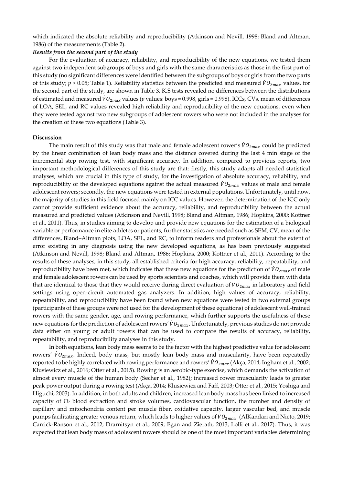which indicated the absolute reliability and reproducibility (Atkinson and Nevill, 1998; Bland and Altman, 1986) of the measurements (Table 2).

# *Results from the second part of the study*

For the evaluation of accuracy, reliability, and reproducibility of the new equations, we tested them against two independent subgroups of boys and girls with the same characteristics as those in the first part of this study (no significant differences were identified between the subgroups of boys or girls from the two parts of this study;  $p > 0.05$ ; Table 1). Reliability statistics between the predicted and measured  $\dot{V}O_{2max}$  values, for the second part of the study, are shown in Table 3. K.S tests revealed no differences between the distributions of estimated and measured  $\dot{V}O_{2max}$  values ( $p$  values: boys = 0.998, girls = 0.998). ICCs, CVs, mean of differences of LOA, SEL, and RC values revealed high reliability and reproducibility of the new equations, even when they were tested against two new subgroups of adolescent rowers who were not included in the analyses for the creation of these two equations (Table 3).

# **Discussion**

The main result of this study was that male and female adolescent rower's  $\dot{V}O_{2max}$  could be predicted by the linear combination of lean body mass and the distance covered during the last 4 min stage of the incremental step rowing test, with significant accuracy. In addition, compared to previous reports, two important methodological differences of this study are that: firstly, this study adapts all needed statistical analyses, which are crucial in this type of study, for the investigation of absolute accuracy, reliability, and reproducibility of the developed equations against the actual measured  $\dot{V}O_{2max}$  values of male and female adolescent rowers; secondly, the new equations were tested in external populations. Unfortunately, until now, the majority of studies in this field focused mainly on ICC values. However, the determination of the ICC only cannot provide sufficient evidence about the accuracy, reliability, and reproducibility between the actual measured and predicted values (Atkinson and Nevill, 1998; Bland and Altman, 1986; Hopkins, 2000; Kottner et al., 2011). Thus, in studies aiming to develop and provide new equations for the estimation of a biological variable or performance in elite athletes or patients, further statistics are needed such as SEM, CV, mean of the differences, Bland–Altman plots, LOA, SEL, and RC, to inform readers and professionals about the extent of error existing in any diagnosis using the new developed equations, as has been previously suggested (Atkinson and Nevill, 1998; Bland and Altman, 1986; Hopkins, 2000; Kottner et al., 2011). According to the results of these analyses, in this study, all established criteria for high accuracy, reliability, repeatability, and reproducibility have been met, which indicates that these new equations for the prediction of  $\dot{V}O_{2max}$  of male and female adolescent rowers can be used by sports scientists and coaches, which will provide them with data that are identical to those that they would receive during direct evaluation of  $\dot{V}O_{2max}$  in laboratory and field settings using open-circuit automated gas analyzers. In addition, high values of accuracy, reliability, repeatability, and reproducibility have been found when new equations were tested in two external groups (participants of these groups were not used for the development of these equations) of adolescent well-trained rowers with the same gender, age, and rowing performance, which further supports the usefulness of these new equations for the prediction of adolescent rowers'  $\dot{V}\hat{O}_{2max}$ . Unfortunately, previous studies do not provide data either on young or adult rowers that can be used to compare the results of accuracy, reliability, repeatability, and reproducibility analyses in this study.

In both equations, lean body mass seems to be the factor with the highest predictive value for adolescent rowers'  $\dot{V}O_{2max}$ . Indeed, body mass, but mostly lean body mass and muscularity, have been repeatedly reported to be highly correlated with rowing performance and rowers'  $\dot{V}\theta_{2max}$  (Akça, 2014; Ingham et al., 2002; Klusiewicz et al., 2016; Otter et al., 2015). Rowing is an aerobic-type exercise, which demands the activation of almost every muscle of the human body (Secher et al., 1982); increased rower muscularity leads to greater peak power output during a rowing test (Akça, 2014; Klusiewicz and Faff, 2003; Otter et al., 2015; Yoshiga and Higuchi, 2003). In addition, in both adults and children, increased lean body mass has been linked to increased capacity of O2 blood extraction and stroke volumes, cardiovascular function, the number and density of capillary and mitochondria content per muscle fiber, oxidative capacity, larger vascular bed, and muscle pumps facilitating greater venous return, which leads to higher values of  $\dot{V}O_{2max}$  (AlKandari and Nieto, 2019; Carrick-Ranson et al., 2012; Drarnitsyn et al., 2009; Egan and Zierath, 2013; Lolli et al., 2017). Thus, it was expected that lean body mass of adolescent rowers should be one of the most important variables determining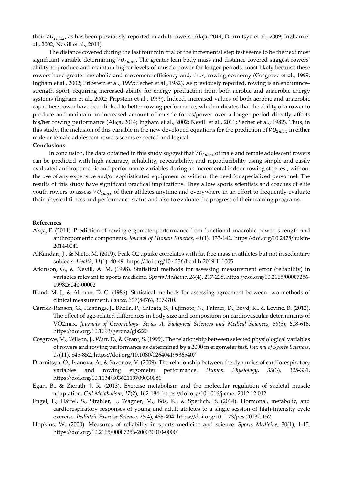their  $\dot{V}O_{2max}$ , as has been previously reported in adult rowers (Akça, 2014; Drarnitsyn et al., 2009; Ingham et al., 2002; Nevill et al., 2011).

The distance covered during the last four min trial of the incremental step test seems to be the next most significant variable determining  $\dot{V}O_{2max}$ . The greater lean body mass and distance covered suggest rowers' ability to produce and maintain higher levels of muscle power for longer periods, most likely because these rowers have greater metabolic and movement efficiency and, thus, rowing economy (Cosgrove et al., 1999; Ingham et al., 2002; Pripstein et al., 1999; Secher et al., 1982). As previously reported, rowing is an endurance– strength sport, requiring increased ability for energy production from both aerobic and anaerobic energy systems (Ingham et al., 2002; Pripstein et al., 1999). Indeed, increased values of both aerobic and anaerobic capacities/power have been linked to better rowing performance, which indicates that the ability of a rower to produce and maintain an increased amount of muscle forces/power over a longer period directly affects his/her rowing performance (Akça, 2014; Ingham et al., 2002; Nevill et al., 2011; Secher et al., 1982). Thus, in this study, the inclusion of this variable in the new developed equations for the prediction of  $\dot{V}\theta_{2max}$  in either male or female adolescent rowers seems expected and logical. **Conclusions** 

In conclusion, the data obtained in this study suggest that  $\dot{\nu}o_{2max}$  of male and female adolescent rowers can be predicted with high accuracy, reliability, repeatability, and reproducibility using simple and easily evaluated anthropometric and performance variables during an incremental indoor rowing step test, without the use of any expensive and/or sophisticated equipment or without the need for specialized personnel. The results of this study have significant practical implications. They allow sports scientists and coaches of elite youth rowers to assess  $\dot{V}O_{2max}$  of their athletes anytime and everywhere in an effort to frequently evaluate their physical fitness and performance status and also to evaluate the progress of their training programs.

# **References**

- Akça, F. (2014). Prediction of rowing ergometer performance from functional anaerobic power, strength and anthropometric components. *Journal of Human Kinetics*, *41*(1), 133-142. https://doi.org/10.2478/hukin-2014-0041
- AlKandari, J., & Nieto, M. (2019). Peak O2 uptake correlates with fat free mass in athletes but not in sedentary subjects. *Health*, *11*(1), 40-49. https://doi.org/10.4236/health.2019.111005
- Atkinson, G., & Nevill, A. M. (1998). Statistical methods for assessing measurement error (reliability) in variables relevant to sports medicine. *Sports Medicine*, *26*(4), 217-238. https://doi.org/10.2165/00007256- 199826040-00002
- Bland, M. J., & Altman, D. G. (1986). Statistical methods for assessing agreement between two methods of clinical measurement. *Lancet*, *327*(8476), 307-310.
- Carrick-Ranson, G., Hastings, J., Bhella, P., Shibata, S., Fujimoto, N., Palmer, D., Boyd, K., & Levine, B. (2012). The effect of age-related differences in body size and composition on cardiovascular determinants of VO2max. *Journals of Gerontology. Series A, Biological Sciences and Medical Sciences*, *68*(5), 608-616. https://doi.org/10.1093/gerona/gls220
- Cosgrove, M., Wilson, J., Watt, D., & Grant, S. (1999). The relationship between selected physiological variables of rowers and rowing performance as determined by a 2000 m ergometer test. *Journal of Sports Sciences*, *17*(11), 845-852. https://doi.org/10.1080/026404199365407
- Drarnitsyn, O., Ivanova, A., & Sazonov, V. (2009). The relationship between the dynamics of cardiorespiratory variables and rowing ergometer performance. *Human Physiology*, *35*(3), 325-331. https://doi.org/10.1134/S0362119709030086
- Egan, B., & Zierath, J. R. (2013). Exercise metabolism and the molecular regulation of skeletal muscle adaptation. *Cell Metabolism*, *17*(2), 162-184. https://doi.org/10.1016/j.cmet.2012.12.012
- Engel, F., Härtel, S., Strahler, J., Wagner, M., Bös, K., & Sperlich, B. (2014). Hormonal, metabolic, and cardiorespiratory responses of young and adult athletes to a single session of high-intensity cycle exercise. *Pediatric Exercise Science*, *26*(4), 485-494. https://doi.org/10.1123/pes.2013-0152
- Hopkins, W. (2000). Measures of reliability in sports medicine and science. *Sports Medicine*, 30(1), 1-15. https://doi.org/10.2165/00007256-200030010-00001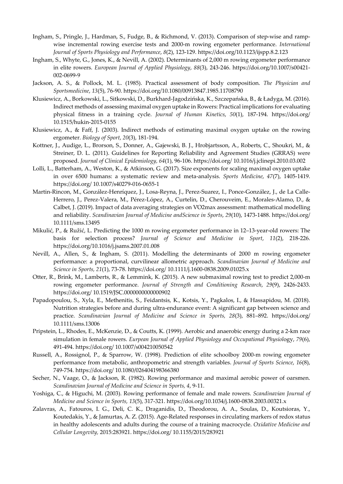- Ingham, S., Pringle, J., Hardman, S., Fudge, B., & Richmond, V. (2013). Comparison of step-wise and rampwise incremental rowing exercise tests and 2000-m rowing ergometer performance. *International Journal of Sports Physiology and Performance*, *8*(2), 123-129. https://doi.org/10.1123/ijspp.8.2.123
- Ingham, S., Whyte, G., Jones, K., & Nevill, A. (2002). Determinants of 2,000 m rowing ergometer performance in elite rowers. *European Journal of Applied Physiology*, *88*(3), 243-246. https://doi.org/10.1007/s00421- 002-0699-9
- Jackson, A. S., & Pollock, M. L. (1985). Practical assessment of body composition. *The Physician and Sportsmedicine*, *13*(5), 76-90. https://doi.org/10.1080/00913847.1985.11708790
- Klusiewicz, A., Borkowski, L., Sitkowski, D., Burkhard-Jagodzińska, K., Szczepańska, B., & Ładyga, M. (2016). Indirect methods of assessing maximal oxygen uptake in Rowers: Practical implications for evaluating physical fitness in a training cycle. *Journal of Human Kinetics*, *50*(1), 187-194. https://doi.org/ 10.1515/hukin-2015-0155
- Klusiewicz, A., & Faff, J. (2003). Indirect methods of estimating maximal oxygen uptake on the rowing ergometer. *Biology of Sport*, *20*(3), 181-194.
- Kottner, J., Audige, L., Brorson, S., Donner, A., Gajewski, B. J., Hrobjartsson, A., Roberts, C., Shoukri, M., & Streiner, D. L. (2011). Guidelines for Reporting Reliability and Agreement Studies (GRRAS) were proposed. *Journal of Clinical Epidemiology, 64*(1), 96-106. https://doi.org/ 10.1016/j.jclinepi.2010.03.002
- Lolli, L., Batterham, A., Weston, K., & Atkinson, G. (2017). Size exponents for scaling maximal oxygen uptake in over 6500 humans: a systematic review and meta-analysis. *Sports Medicine*, *47*(7), 1405-1419. https://doi.org/ 10.1007/s40279-016-0655-1
- Martin-Rincon, M., González-Henríquez, J., Losa-Reyna, J., Perez-Suarez, I., Ponce-González, J., de La Calle-Herrero, J., Perez-Valera, M., Pérez-López, A., Curtelin, D., Cherouveim, E., Morales-Alamo, D., & Calbet, J. (2019). Impact of data averaging strategies on V̇O2max assessment: mathematical modelling and reliability. *Scandinavian Journal of Medicine andScience in Sports*, *29*(10), 1473-1488. https://doi.org/ 10.1111/sms.13495
- Mikulić, P., & Ružić, L. Predicting the 1000 m rowing ergometer performance in 12–13-year-old rowers: The basis for selection process? *Journal of Science and Medicine in Sport*, *11*(2), 218-226. https://doi.org/10.1016/j.jsams.2007.01.008
- Nevill, A., Allen, S., & Ingham, S. (2011). Modelling the determinants of 2000 m rowing ergometer performance: a proportional, curvilinear allometric approach. *Scandinavian Journal of Medicine and Science in Sports, 21*(1), 73-78. https://doi.org/ 10.1111/j.1600-0838.2009.01025.x
- Otter, R., Brink, M., Lamberts, R., & Lemmink, K. (2015). A new submaximal rowing test to predict 2,000-m rowing ergometer performance. *Journal of Strength and Conditioning Research*, *29*(9), 2426-2433. https://doi.org/ 10.1519/JSC.0000000000000902
- Papadopoulou, S., Xyla, E., Methenitis, S., Feidantsis, K., Kotsis, Y., Pagkalos, I., & Hassapidou, M. (2018). Nutrition strategies before and during ultra-endurance event: A significant gap between science and practice. *Scandinavian Journal of Medicine and Science in Sports, 28*(3), 881–892. https://doi.org/ 10.1111/sms.13006
- Pripstein, L., Rhodes, E., McKenzie, D., & Coutts, K. (1999). Aerobic and anaerobic energy during a 2-km race simulation in female rowers. *Eurpean Journal of Applied Physiology and Occupational Physiol*ogy, *79*(6), 491-494. https://doi.org/ 10.1007/s004210050542
- Russell, A., Rossignol, P., & Sparrow, W. (1998). Prediction of elite schoolboy 2000-m rowing ergometer performance from metabolic, anthropometric and strength variables. *Journal of Sports Science*, *16*(8), 749-754. https://doi.org/ 10.1080/026404198366380
- Secher, N., Vaage, O., & Jackson, R. (1982). Rowing performance and maximal aerobic power of oarsmen. *Scandinavian Journal of Medicine and Science in Sports, 4*, 9-11.
- Yoshiga, C., & Higuchi, M. (2003). Rowing performance of female and male rowers. *Scandinavian Journal of Medicine and Science in Sports, 13*(5), 317-321. https://doi.org/10.1034/j.1600-0838.2003.00321.x
- Zalavras, A., Fatouros, I. G., Deli, C. K., Draganidis, D., Theodorou, A. A., Soulas, D., Koutsioras, Y., Koutedakis, Y., & Jamurtas, A. Z. (2015). Age-Related responses in circulating markers of redox status in healthy adolescents and adults during the course of a training macrocycle. *Oxidative Medicine and Cellular Longevity,* 2015:283921. https://doi.org/ 10.1155/2015/283921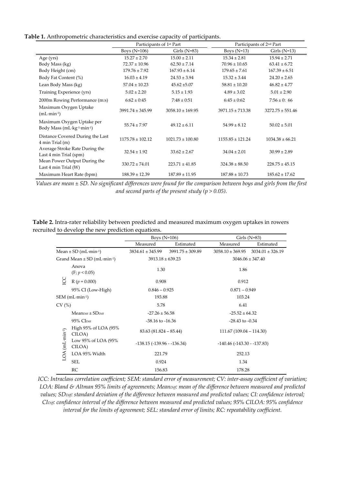## **Table 1.** Anthropometric characteristics and exercise capacity of participants.

|                                                                 | Participants of 1 <sup>st</sup> Part |                      | Participants of 2 <sup>nd</sup> Part |                      |
|-----------------------------------------------------------------|--------------------------------------|----------------------|--------------------------------------|----------------------|
|                                                                 | Boys $(N=106)$                       | Girls $(N=83)$       | Boys $(N=13)$                        | Girls $(N=13)$       |
| Age (yrs)                                                       | $15.27 \pm 2.70$                     | $15.00 \pm 2.11$     | $15.34 \pm 2.81$                     | $15.94 \pm 2.71$     |
| Body Mass (kg)                                                  | $72.37 \pm 10.96$                    | $62.50 \pm 7.14$     | $70.96 \pm 10.65$                    | $63.41 \pm 6.72$     |
| Body Height (cm)                                                | $179.76 \pm 7.92$                    | $167.93 \pm 6.14$    | $179.65 \pm 7.61$                    | $167.39 \pm 6.51$    |
| Body Fat Content (%)                                            | $16.03 \pm 4.19$                     | $24.53 \pm 3.94$     | $15.32 \pm 3.44$                     | $24.20 \pm 2.65$     |
| Lean Body Mass (kg)                                             | $57.04 \pm 10.23$                    | $45.62 \pm 5.07$     | $58.81 \pm 10.20$                    | $46.82 \pm 4.77$     |
| Training Experience (yrs)                                       | $5.02 \pm 2.20$                      | $5.15 \pm 1.93$      | $4.89 \pm 3.02$                      | $5.01 \pm 2.90$      |
| 2000m Rowing Performance (m:s)                                  | $6:62 \pm 0:45$                      | $7:48 \pm 0:51$      | $6:45 \pm 0:62$                      | $7:56 \pm 0$ : 66    |
| Maximum Oxygen Uptake<br>$(mL·min-1)$                           | $3991.74 \pm 345.99$                 | $3058.10 \pm 169.95$ | $3971.15 \pm 713.38$                 | $3272.75 \pm 551.46$ |
| Maximum Oxygen Uptake per<br>Body Mass (mL·kg-1-min-1)          | $55.74 \pm 7.97$                     | $49.12 \pm 6.11$     | $54.99 \pm 8.12$                     | $50.02 \pm 5.01$     |
| Distance Covered During the Last<br>4 min Trial (m)             | $1175.78 \pm 102.12$                 | $1021.73 \pm 100.80$ | $1155.85 \pm 121.24$                 | $1034.38 \pm 66.21$  |
| Average Stroke Rate During the<br>Last 4 min Trial (spm)        | $32.54 \pm 1.92$                     | $33.62 \pm 2.67$     | $34.04 \pm 2.01$                     | $30.99 \pm 2.89$     |
| Mean Power Output During the<br>Last $4 \text{ min }$ Trial (W) | $330.72 \pm 74.01$                   | $223.71 \pm 41.85$   | $324.38 \pm 88.50$                   | $228.75 \pm 45.15$   |
| Maximum Heart Rate (bpm)                                        | $188.39 \pm 12.39$                   | $187.89 \pm 11.95$   | $187.88 \pm 10.73$                   | $185.62 \pm 17.62$   |

*Values are mean ± SD. No significant differences were found for the comparison between boys and girls from the first and second parts of the present study (p > 0.05).* 

**Table 2.** Intra-rater reliability between predicted and measured maximum oxygen uptakes in rowers recruited to develop the new prediction equations.

|                                                |                                | Boys $(N=106)$                   |                      | Girls $(N=83)$                   |                                           |
|------------------------------------------------|--------------------------------|----------------------------------|----------------------|----------------------------------|-------------------------------------------|
|                                                |                                | Measured                         | Estimated            | Measured                         | Estimated                                 |
| Mean $\pm$ SD (mL $\cdot$ min $\cdot$ 1)       |                                | $3834.61 \pm 345.99$             | $3991.75 \pm 309.89$ |                                  | $3058.10 \pm 369.95$ $3034.01 \pm 326.19$ |
| Grand Mean $\pm$ SD (mL $\cdot$ min $\cdot$ 1) |                                | $3913.18 \pm 639.23$             |                      | $3046.06 \pm 347.40$             |                                           |
|                                                | Anova<br>(F; p < 0.05)         | 1.30                             |                      | 1.86                             |                                           |
| SO                                             | $R (p = 0.000)$                | 0.908                            |                      | 0.912                            |                                           |
|                                                | 95% CI (Low-High)              | $0.846 - 0.925$                  |                      | $0.871 - 0.949$                  |                                           |
| $SEM$ (mL $\cdot$ min $\cdot$ 1)               |                                | 193.88                           |                      | 103.24                           |                                           |
| CV(%)                                          |                                | 5.78                             |                      | 6.41                             |                                           |
| $LOA$ (mL-min-1)                               | $MeanDiff + SDDiff$            | $-27.26 \pm 56.58$               |                      | $-25.52 \pm 64.32$               |                                           |
|                                                | 95% CI <sub>Diff</sub>         | $-38.16$ to $-16.36$             |                      | $-28.43$ to $-0.34$              |                                           |
|                                                | High 95% of LOA (95%<br>CILOA) | $83.63(81.824 - 85.44)$          |                      | $111.67(109.04 - 114.30)$        |                                           |
|                                                | Low 95% of LOA (95%<br>CILOA)  | $-138.15$ ( $-139.96 - 136.34$ ) |                      | $-140.46$ ( $-143.30 - 137.83$ ) |                                           |
|                                                | LOA 95% Width                  | 221.79                           |                      | 252.13                           |                                           |
|                                                | <b>SEL</b>                     | 0.924                            |                      | 1.34                             |                                           |
|                                                | RC                             | 156.83                           |                      | 178.28                           |                                           |

*ICC: Intraclass correlation coefficient; SEM: standard error of measurement; CV: inter-assay coefficient of variation; LOA: Bland & Altman 95% limits of agreements; Mean<sub>Diff</sub>: mean of the difference between measured and predicted* values; SD<sub>Diff</sub>: standard deviation of the difference between measured and predicted values; CI: confidence interval; *CIDiff: confidence interval of the difference between measured and predicted values; 95% CILOA: 95% confidence interval for the limits of agreement; SEL: standard error of limits; RC: repeatability coefficient.*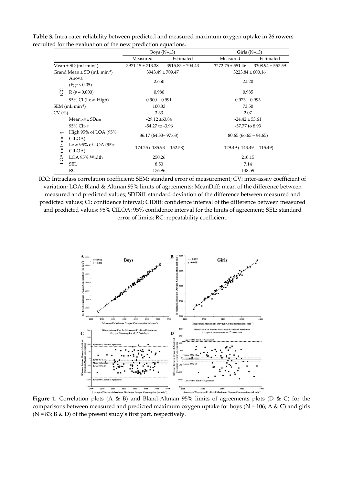|                                                        | Boys $(N=13)$                    |                      | Girls $(N=13)$                      |                      |
|--------------------------------------------------------|----------------------------------|----------------------|-------------------------------------|----------------------|
|                                                        | Measured                         | Estimated            | Measured                            | Estimated            |
| Mean $\pm$ SD (mL $\cdot$ min $\cdot$ <sup>1</sup> )   | $3971.15 \pm 713.38$             | $3915.83 \pm 704.43$ | $3272.75 \pm 551.46$                | $3308.94 \pm 557.59$ |
| Grand Mean $\pm$ SD (mL $\cdot$ min $\cdot$ 1)         | $3943.49 \pm 709.47$             |                      | $3223.84 \pm 600.16$                |                      |
| Anova<br>(F; p < 0.05)                                 | 2.650                            |                      | 2.520                               |                      |
| g<br>$R(p = 0.000)$                                    | 0.980                            |                      | 0.985                               |                      |
| 95% CI (Low-High)                                      | $0.900 - 0.991$                  |                      | $0.973 - 0.993$                     |                      |
| $SEM$ (mL $\cdot$ min $\cdot$ 1)                       | 100.33                           |                      | 73.50                               |                      |
| CV(%)                                                  | 3.33                             |                      | 2.07                                |                      |
| $Mean$ Diff $\pm$ SD <sub>Diff</sub>                   | $-29.12 \pm 63.84$               |                      | $-24.42 \pm 53.61$                  |                      |
| $95\%$ CI <sub>Diff</sub>                              | $-54.27$ to $-3.96$              |                      | -57.77 to 8.93                      |                      |
| High 95% of LOA (95%<br>CILOA)                         | 86.17 (64.33 - 97.68)            |                      | $80.65(66.65-94.65)$                |                      |
| $(mL \cdot min^{-1})$<br>Low 95% of LOA (95%<br>CILOA) | $-174.25$ ( $-185.93 - 152.58$ ) |                      | $-129.49$ ( $-143.49$ - $-115.49$ ) |                      |
| LOA<br>LOA 95% Width                                   | 250.26                           |                      | 210.15                              |                      |
| <b>SEL</b>                                             | 8.50                             |                      | 7.14                                |                      |
| RC                                                     | 176.96                           |                      | 148.59                              |                      |

**Table 3.** Intra-rater reliability between predicted and measured maximum oxygen uptake in 26 rowers recruited for the evaluation of the new prediction equations.

ICC: Intraclass correlation coefficient; SEM: standard error of measurement; CV: inter-assay coefficient of variation; LOA: Bland & Altman 95% limits of agreements; MeanDiff: mean of the difference between measured and predicted values; SDDiff: standard deviation of the difference between measured and predicted values; CI: confidence interval; CIDiff: confidence interval of the difference between measured and predicted values; 95% CILOA: 95% confidence interval for the limits of agreement; SEL: standard error of limits; RC: repeatability coefficient.



**Figure 1.** Correlation plots (A & B) and Bland-Altman 95% limits of agreements plots (D & C) for the comparisons between measured and predicted maximum oxygen uptake for boys ( $N = 106$ ; A & C) and girls  $(N = 83; B & D)$  of the present study's first part, respectively.